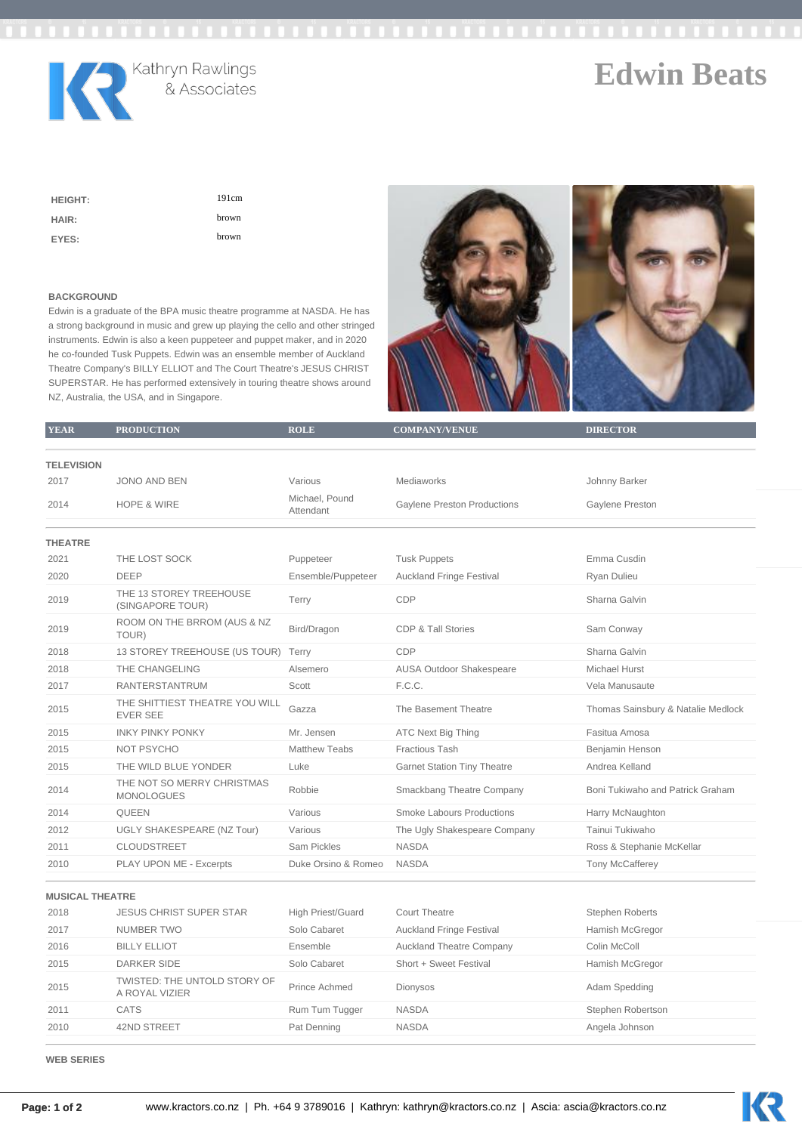

**Edwin Beats**

| <b>HEIGHT:</b> | 191cm |
|----------------|-------|
| HAIR:          | brown |
| EYES:          | brown |

## **BACKGROUND**

Edwin is a graduate of the BPA music theatre programme at NASDA. He has a strong background in music and grew up playing the cello and other stringed instruments. Edwin is also a keen puppeteer and puppet maker, and in 2020 he co-founded Tusk Puppets. Edwin was an ensemble member of Auckland Theatre Company's BILLY ELLIOT and The Court Theatre's JESUS CHRIST SUPERSTAR. He has performed extensively in touring theatre shows around NZ, Australia, the USA, and in Singapore.



| <b>YEAR</b>            | <b>PRODUCTION</b>                                 | <b>ROLE</b>                 | <b>COMPANY/VENUE</b>               | <b>DIRECTOR</b>                    |
|------------------------|---------------------------------------------------|-----------------------------|------------------------------------|------------------------------------|
|                        |                                                   |                             |                                    |                                    |
| <b>TELEVISION</b>      |                                                   |                             |                                    |                                    |
| 2017                   | <b>JONO AND BEN</b>                               | Various                     | Mediaworks                         | Johnny Barker                      |
| 2014                   | <b>HOPE &amp; WIRE</b>                            | Michael, Pound<br>Attendant | <b>Gaylene Preston Productions</b> | Gaylene Preston                    |
| <b>THEATRE</b>         |                                                   |                             |                                    |                                    |
| 2021                   | THE LOST SOCK                                     | Puppeteer                   | <b>Tusk Puppets</b>                | Emma Cusdin                        |
| 2020                   | <b>DEEP</b>                                       | Ensemble/Puppeteer          | <b>Auckland Fringe Festival</b>    | Ryan Dulieu                        |
| 2019                   | THE 13 STOREY TREEHOUSE<br>(SINGAPORE TOUR)       | Terry                       | CDP                                | Sharna Galvin                      |
| 2019                   | ROOM ON THE BRROM (AUS & NZ<br>TOUR)              | Bird/Dragon                 | <b>CDP &amp; Tall Stories</b>      | Sam Conway                         |
| 2018                   | 13 STOREY TREEHOUSE (US TOUR)                     | Terry                       | CDP                                | Sharna Galvin                      |
| 2018                   | THE CHANGELING                                    | Alsemero                    | AUSA Outdoor Shakespeare           | <b>Michael Hurst</b>               |
| 2017                   | <b>RANTERSTANTRUM</b>                             | Scott                       | F.C.C.                             | Vela Manusaute                     |
| 2015                   | THE SHITTIEST THEATRE YOU WILL<br><b>EVER SEE</b> | Gazza                       | The Basement Theatre               | Thomas Sainsbury & Natalie Medlock |
| 2015                   | <b>INKY PINKY PONKY</b>                           | Mr. Jensen                  | <b>ATC Next Big Thing</b>          | Fasitua Amosa                      |
| 2015                   | NOT PSYCHO                                        | Matthew Teabs               | Fractious Tash                     | Benjamin Henson                    |
| 2015                   | THE WILD BLUE YONDER                              | Luke                        | <b>Garnet Station Tiny Theatre</b> | Andrea Kelland                     |
| 2014                   | THE NOT SO MERRY CHRISTMAS<br><b>MONOLOGUES</b>   | Robbie                      | Smackbang Theatre Company          | Boni Tukiwaho and Patrick Graham   |
| 2014                   | QUEEN                                             | Various                     | <b>Smoke Labours Productions</b>   | Harry McNaughton                   |
| 2012                   | <b>UGLY SHAKESPEARE (NZ Tour)</b>                 | Various                     | The Ugly Shakespeare Company       | Tainui Tukiwaho                    |
| 2011                   | CLOUDSTREET                                       | Sam Pickles                 | <b>NASDA</b>                       | Ross & Stephanie McKellar          |
| 2010                   | PLAY UPON ME - Excerpts                           | Duke Orsino & Romeo         | <b>NASDA</b>                       | <b>Tony McCafferey</b>             |
| <b>MUSICAL THEATRE</b> |                                                   |                             |                                    |                                    |

| 2018 | <b>JESUS CHRIST SUPER STAR</b>                 | High Priest/Guard | Court Theatre                   | Stephen Roberts   |
|------|------------------------------------------------|-------------------|---------------------------------|-------------------|
| 2017 | NUMBER TWO                                     | Solo Cabaret      | <b>Auckland Fringe Festival</b> | Hamish McGregor   |
| 2016 | <b>BILLY ELLIOT</b>                            | Ensemble          | <b>Auckland Theatre Company</b> | Colin McColl      |
| 2015 | DARKER SIDE                                    | Solo Cabaret      | Short + Sweet Festival          | Hamish McGregor   |
| 2015 | TWISTED: THE UNTOLD STORY OF<br>A ROYAL VIZIER | Prince Achmed     | Dionysos                        | Adam Spedding     |
| 2011 | CATS                                           | Rum Tum Tugger    | <b>NASDA</b>                    | Stephen Robertson |
| 2010 | 42ND STREET                                    | Pat Denning       | <b>NASDA</b>                    | Angela Johnson    |

**WEB SERIES**